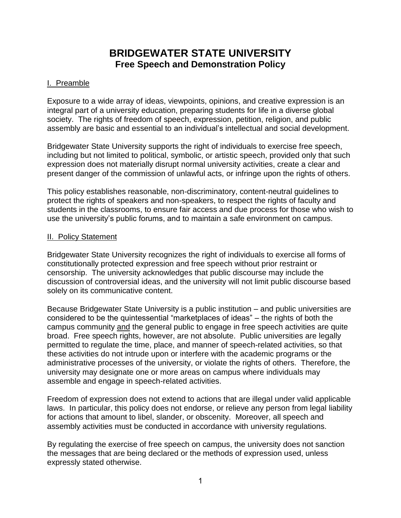# **BRIDGEWATER STATE UNIVERSITY Free Speech and Demonstration Policy**

### I. Preamble

Exposure to a wide array of ideas, viewpoints, opinions, and creative expression is an integral part of a university education, preparing students for life in a diverse global society. The rights of freedom of speech, expression, petition, religion, and public assembly are basic and essential to an individual's intellectual and social development.

Bridgewater State University supports the right of individuals to exercise free speech, including but not limited to political, symbolic, or artistic speech, provided only that such expression does not materially disrupt normal university activities, create a clear and present danger of the commission of unlawful acts, or infringe upon the rights of others.

This policy establishes reasonable, non-discriminatory, content-neutral guidelines to protect the rights of speakers and non-speakers, to respect the rights of faculty and students in the classrooms, to ensure fair access and due process for those who wish to use the university's public forums, and to maintain a safe environment on campus.

#### **II. Policy Statement**

Bridgewater State University recognizes the right of individuals to exercise all forms of constitutionally protected expression and free speech without prior restraint or censorship. The university acknowledges that public discourse may include the discussion of controversial ideas, and the university will not limit public discourse based solely on its communicative content.

Because Bridgewater State University is a public institution – and public universities are considered to be the quintessential "marketplaces of ideas" – the rights of both the campus community and the general public to engage in free speech activities are quite broad. Free speech rights, however, are not absolute. Public universities are legally permitted to regulate the time, place, and manner of speech-related activities, so that these activities do not intrude upon or interfere with the academic programs or the administrative processes of the university, or violate the rights of others. Therefore, the university may designate one or more areas on campus where individuals may assemble and engage in speech-related activities.

Freedom of expression does not extend to actions that are illegal under valid applicable laws. In particular, this policy does not endorse, or relieve any person from legal liability for actions that amount to libel, slander, or obscenity. Moreover, all speech and assembly activities must be conducted in accordance with university regulations.

By regulating the exercise of free speech on campus, the university does not sanction the messages that are being declared or the methods of expression used, unless expressly stated otherwise.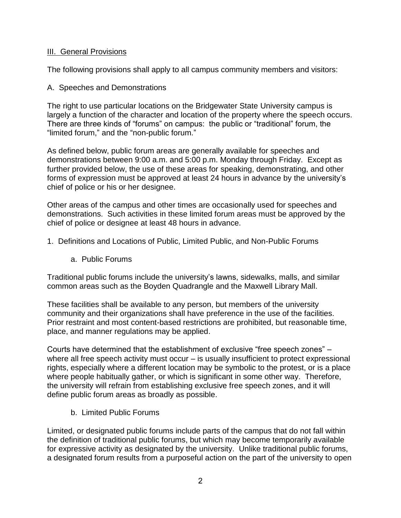#### III. General Provisions

The following provisions shall apply to all campus community members and visitors:

#### A. Speeches and Demonstrations

The right to use particular locations on the Bridgewater State University campus is largely a function of the character and location of the property where the speech occurs. There are three kinds of "forums" on campus: the public or "traditional" forum, the "limited forum," and the "non-public forum."

As defined below, public forum areas are generally available for speeches and demonstrations between 9:00 a.m. and 5:00 p.m. Monday through Friday. Except as further provided below, the use of these areas for speaking, demonstrating, and other forms of expression must be approved at least 24 hours in advance by the university's chief of police or his or her designee.

Other areas of the campus and other times are occasionally used for speeches and demonstrations. Such activities in these limited forum areas must be approved by the chief of police or designee at least 48 hours in advance.

- 1. Definitions and Locations of Public, Limited Public, and Non-Public Forums
	- a. Public Forums

Traditional public forums include the university's lawns, sidewalks, malls, and similar common areas such as the Boyden Quadrangle and the Maxwell Library Mall.

These facilities shall be available to any person, but members of the university community and their organizations shall have preference in the use of the facilities. Prior restraint and most content-based restrictions are prohibited, but reasonable time, place, and manner regulations may be applied.

Courts have determined that the establishment of exclusive "free speech zones" – where all free speech activity must occur – is usually insufficient to protect expressional rights, especially where a different location may be symbolic to the protest, or is a place where people habitually gather, or which is significant in some other way. Therefore, the university will refrain from establishing exclusive free speech zones, and it will define public forum areas as broadly as possible.

b. Limited Public Forums

Limited, or designated public forums include parts of the campus that do not fall within the definition of traditional public forums, but which may become temporarily available for expressive activity as designated by the university. Unlike traditional public forums, a designated forum results from a purposeful action on the part of the university to open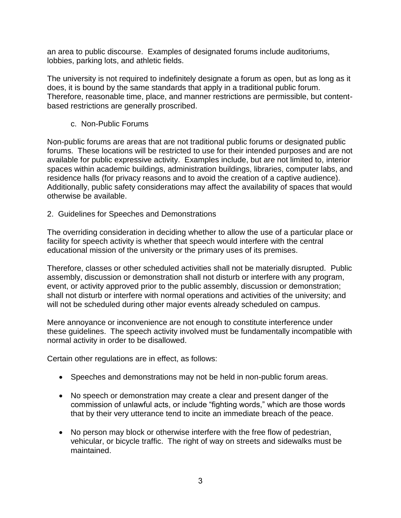an area to public discourse. Examples of designated forums include auditoriums, lobbies, parking lots, and athletic fields.

The university is not required to indefinitely designate a forum as open, but as long as it does, it is bound by the same standards that apply in a traditional public forum. Therefore, reasonable time, place, and manner restrictions are permissible, but contentbased restrictions are generally proscribed.

c. Non-Public Forums

Non-public forums are areas that are not traditional public forums or designated public forums. These locations will be restricted to use for their intended purposes and are not available for public expressive activity. Examples include, but are not limited to, interior spaces within academic buildings, administration buildings, libraries, computer labs, and residence halls (for privacy reasons and to avoid the creation of a captive audience). Additionally, public safety considerations may affect the availability of spaces that would otherwise be available.

2. Guidelines for Speeches and Demonstrations

The overriding consideration in deciding whether to allow the use of a particular place or facility for speech activity is whether that speech would interfere with the central educational mission of the university or the primary uses of its premises.

Therefore, classes or other scheduled activities shall not be materially disrupted. Public assembly, discussion or demonstration shall not disturb or interfere with any program, event, or activity approved prior to the public assembly, discussion or demonstration; shall not disturb or interfere with normal operations and activities of the university; and will not be scheduled during other major events already scheduled on campus.

Mere annoyance or inconvenience are not enough to constitute interference under these guidelines. The speech activity involved must be fundamentally incompatible with normal activity in order to be disallowed.

Certain other regulations are in effect, as follows:

- Speeches and demonstrations may not be held in non-public forum areas.
- No speech or demonstration may create a clear and present danger of the commission of unlawful acts, or include "fighting words," which are those words that by their very utterance tend to incite an immediate breach of the peace.
- No person may block or otherwise interfere with the free flow of pedestrian, vehicular, or bicycle traffic. The right of way on streets and sidewalks must be maintained.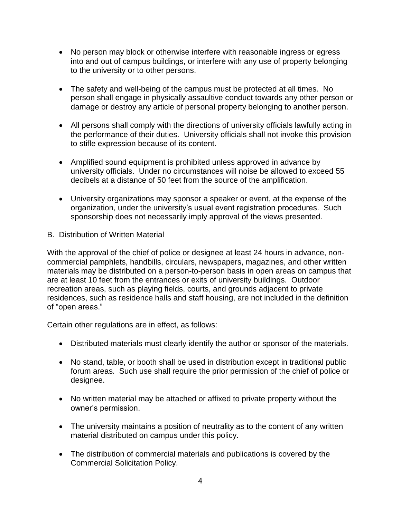- No person may block or otherwise interfere with reasonable ingress or egress into and out of campus buildings, or interfere with any use of property belonging to the university or to other persons.
- The safety and well-being of the campus must be protected at all times. No person shall engage in physically assaultive conduct towards any other person or damage or destroy any article of personal property belonging to another person.
- All persons shall comply with the directions of university officials lawfully acting in the performance of their duties. University officials shall not invoke this provision to stifle expression because of its content.
- Amplified sound equipment is prohibited unless approved in advance by university officials. Under no circumstances will noise be allowed to exceed 55 decibels at a distance of 50 feet from the source of the amplification.
- University organizations may sponsor a speaker or event, at the expense of the organization, under the university's usual event registration procedures. Such sponsorship does not necessarily imply approval of the views presented.
- B. Distribution of Written Material

With the approval of the chief of police or designee at least 24 hours in advance, noncommercial pamphlets, handbills, circulars, newspapers, magazines, and other written materials may be distributed on a person-to-person basis in open areas on campus that are at least 10 feet from the entrances or exits of university buildings. Outdoor recreation areas, such as playing fields, courts, and grounds adjacent to private residences, such as residence halls and staff housing, are not included in the definition of "open areas."

Certain other regulations are in effect, as follows:

- Distributed materials must clearly identify the author or sponsor of the materials.
- No stand, table, or booth shall be used in distribution except in traditional public forum areas. Such use shall require the prior permission of the chief of police or designee.
- No written material may be attached or affixed to private property without the owner's permission.
- The university maintains a position of neutrality as to the content of any written material distributed on campus under this policy.
- The distribution of commercial materials and publications is covered by the Commercial Solicitation Policy.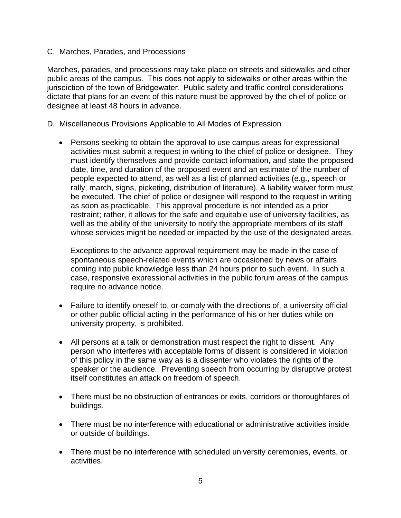C. Marches, Parades, and Processions

Marches, parades, and processions may take place on streets and sidewalks and other public areas of the campus. This does not apply to sidewalks or other areas within the jurisdiction of the town of Bridgewater. Public safety and traffic control considerations dictate that plans for an event of this nature must be approved by the chief of police or designee at least 48 hours in advance.

- D. Miscellaneous Provisions Applicable to All Modes of Expression
	- Persons seeking to obtain the approval to use campus areas for expressional activities must submit a request in writing to the chief of police or designee. They must identify themselves and provide contact information, and state the proposed date, time, and duration of the proposed event and an estimate of the number of people expected to attend, as well as a list of planned activities (e.g., speech or rally, march, signs, picketing, distribution of literature). A liability waiver form must be executed. The chief of police or designee will respond to the request in writing as soon as practicable. This approval procedure is not intended as a prior restraint; rather, it allows for the safe and equitable use of university facilities, as well as the ability of the university to notify the appropriate members of its staff whose services might be needed or impacted by the use of the designated areas.

Exceptions to the advance approval requirement may be made in the case of spontaneous speech-related events which are occasioned by news or affairs coming into public knowledge less than 24 hours prior to such event. In such a case, responsive expressional activities in the public forum areas of the campus require no advance notice.

- Failure to identify oneself to, or comply with the directions of, a university official or other public official acting in the performance of his or her duties while on university property, is prohibited.
- All persons at a talk or demonstration must respect the right to dissent. Any person who interferes with acceptable forms of dissent is considered in violation of this policy in the same way as is a dissenter who violates the rights of the speaker or the audience. Preventing speech from occurring by disruptive protest itself constitutes an attack on freedom of speech.
- There must be no obstruction of entrances or exits, corridors or thoroughfares of buildings.
- There must be no interference with educational or administrative activities inside or outside of buildings.
- There must be no interference with scheduled university ceremonies, events, or activities.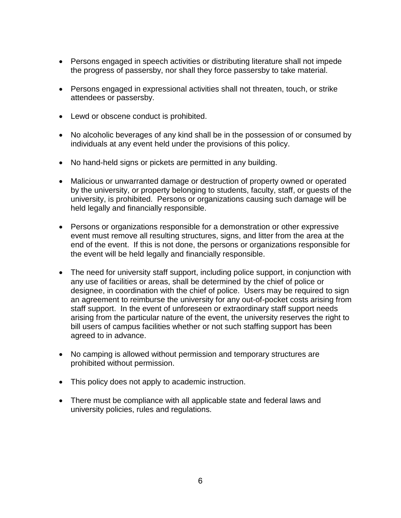- Persons engaged in speech activities or distributing literature shall not impede the progress of passersby, nor shall they force passersby to take material.
- Persons engaged in expressional activities shall not threaten, touch, or strike attendees or passersby.
- Lewd or obscene conduct is prohibited.
- No alcoholic beverages of any kind shall be in the possession of or consumed by individuals at any event held under the provisions of this policy.
- No hand-held signs or pickets are permitted in any building.
- Malicious or unwarranted damage or destruction of property owned or operated by the university, or property belonging to students, faculty, staff, or guests of the university, is prohibited. Persons or organizations causing such damage will be held legally and financially responsible.
- Persons or organizations responsible for a demonstration or other expressive event must remove all resulting structures, signs, and litter from the area at the end of the event. If this is not done, the persons or organizations responsible for the event will be held legally and financially responsible.
- The need for university staff support, including police support, in conjunction with any use of facilities or areas, shall be determined by the chief of police or designee, in coordination with the chief of police. Users may be required to sign an agreement to reimburse the university for any out-of-pocket costs arising from staff support. In the event of unforeseen or extraordinary staff support needs arising from the particular nature of the event, the university reserves the right to bill users of campus facilities whether or not such staffing support has been agreed to in advance.
- No camping is allowed without permission and temporary structures are prohibited without permission.
- This policy does not apply to academic instruction.
- There must be compliance with all applicable state and federal laws and university policies, rules and regulations.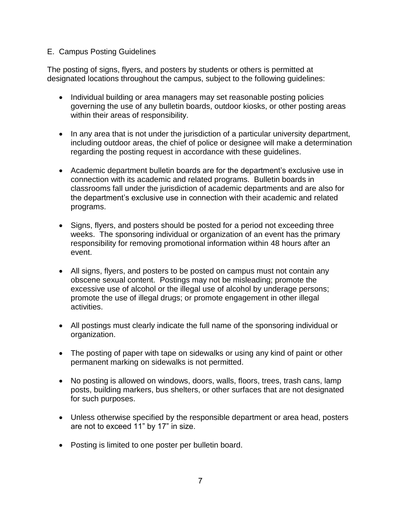#### E. Campus Posting Guidelines

The posting of signs, flyers, and posters by students or others is permitted at designated locations throughout the campus, subject to the following guidelines:

- Individual building or area managers may set reasonable posting policies governing the use of any bulletin boards, outdoor kiosks, or other posting areas within their areas of responsibility.
- In any area that is not under the jurisdiction of a particular university department, including outdoor areas, the chief of police or designee will make a determination regarding the posting request in accordance with these guidelines.
- Academic department bulletin boards are for the department's exclusive use in connection with its academic and related programs. Bulletin boards in classrooms fall under the jurisdiction of academic departments and are also for the department's exclusive use in connection with their academic and related programs.
- Signs, flyers, and posters should be posted for a period not exceeding three weeks. The sponsoring individual or organization of an event has the primary responsibility for removing promotional information within 48 hours after an event.
- All signs, flyers, and posters to be posted on campus must not contain any obscene sexual content. Postings may not be misleading; promote the excessive use of alcohol or the illegal use of alcohol by underage persons; promote the use of illegal drugs; or promote engagement in other illegal activities.
- All postings must clearly indicate the full name of the sponsoring individual or organization.
- The posting of paper with tape on sidewalks or using any kind of paint or other permanent marking on sidewalks is not permitted.
- No posting is allowed on windows, doors, walls, floors, trees, trash cans, lamp posts, building markers, bus shelters, or other surfaces that are not designated for such purposes.
- Unless otherwise specified by the responsible department or area head, posters are not to exceed 11" by 17" in size.
- Posting is limited to one poster per bulletin board.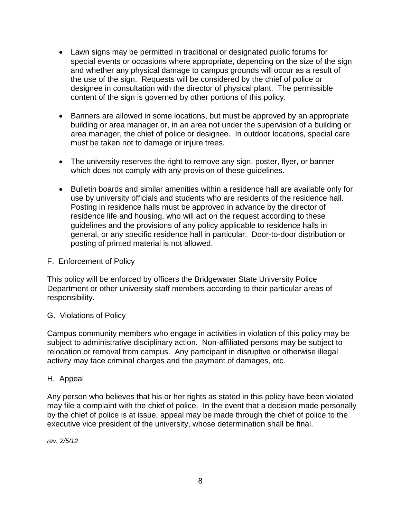- Lawn signs may be permitted in traditional or designated public forums for special events or occasions where appropriate, depending on the size of the sign and whether any physical damage to campus grounds will occur as a result of the use of the sign. Requests will be considered by the chief of police or designee in consultation with the director of physical plant. The permissible content of the sign is governed by other portions of this policy.
- Banners are allowed in some locations, but must be approved by an appropriate building or area manager or, in an area not under the supervision of a building or area manager, the chief of police or designee. In outdoor locations, special care must be taken not to damage or injure trees.
- The university reserves the right to remove any sign, poster, flyer, or banner which does not comply with any provision of these guidelines.
- Bulletin boards and similar amenities within a residence hall are available only for use by university officials and students who are residents of the residence hall. Posting in residence halls must be approved in advance by the director of residence life and housing, who will act on the request according to these guidelines and the provisions of any policy applicable to residence halls in general, or any specific residence hall in particular. Door-to-door distribution or posting of printed material is not allowed.

#### F. Enforcement of Policy

This policy will be enforced by officers the Bridgewater State University Police Department or other university staff members according to their particular areas of responsibility.

#### G. Violations of Policy

Campus community members who engage in activities in violation of this policy may be subject to administrative disciplinary action. Non-affiliated persons may be subject to relocation or removal from campus. Any participant in disruptive or otherwise illegal activity may face criminal charges and the payment of damages, etc.

#### H. Appeal

Any person who believes that his or her rights as stated in this policy have been violated may file a complaint with the chief of police. In the event that a decision made personally by the chief of police is at issue, appeal may be made through the chief of police to the executive vice president of the university, whose determination shall be final.

*rev. 2/5/12*